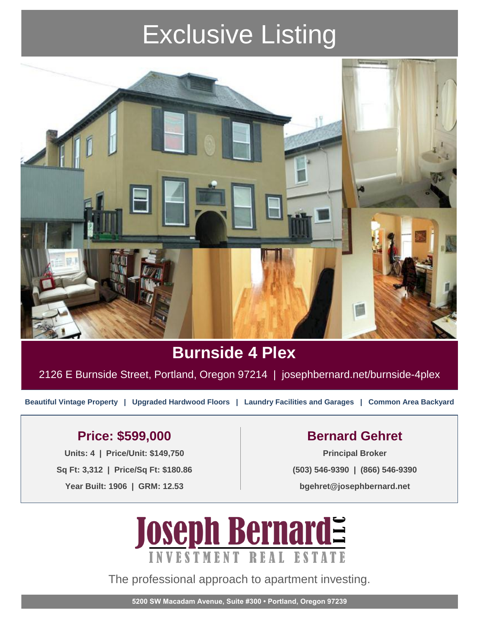# Exclusive Listing



### **Burnside 4 Plex**

2126 E Burnside Street, Portland, Oregon 97214 | josephbernard.net/burnside-4plex

**Beautiful Vintage Property | Upgraded Hardwood Floors | Laundry Facilities and Garages | Common Area Backyard**

### Price: \$599,000 **Bernard Gehret**

Units: 4 | Price/Unit: \$149,750 **Sq Ft: 3,312 | Price/Sq Ft: \$180.86 Year Built: 1906 | GRM: 12.53**

**(503) 546-9390 | (866) 546-9390 bgehret@josephbernard.net**



The professional approach to apartment investing.

**5200 SW Macadam Avenue, Suite #300 • Portland, Oregon 97239**